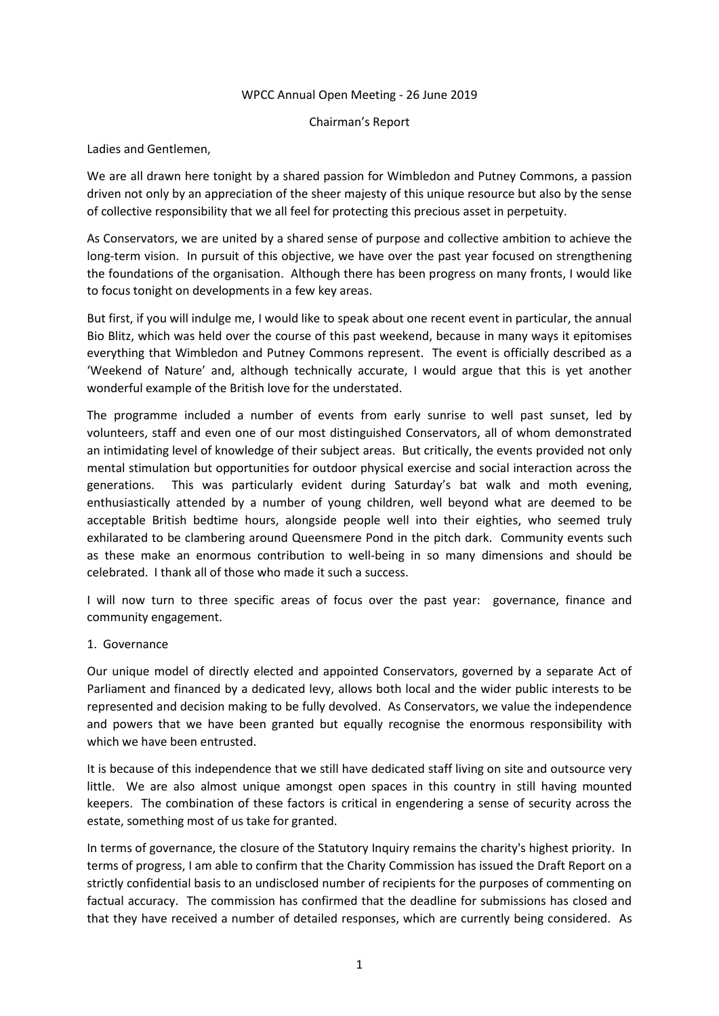## WPCC Annual Open Meeting - 26 June 2019

Chairman's Report

Ladies and Gentlemen,

We are all drawn here tonight by a shared passion for Wimbledon and Putney Commons, a passion driven not only by an appreciation of the sheer majesty of this unique resource but also by the sense of collective responsibility that we all feel for protecting this precious asset in perpetuity.

As Conservators, we are united by a shared sense of purpose and collective ambition to achieve the long-term vision. In pursuit of this objective, we have over the past year focused on strengthening the foundations of the organisation. Although there has been progress on many fronts, I would like to focus tonight on developments in a few key areas.

But first, if you will indulge me, I would like to speak about one recent event in particular, the annual Bio Blitz, which was held over the course of this past weekend, because in many ways it epitomises everything that Wimbledon and Putney Commons represent. The event is officially described as a 'Weekend of Nature' and, although technically accurate, I would argue that this is yet another wonderful example of the British love for the understated.

The programme included a number of events from early sunrise to well past sunset, led by volunteers, staff and even one of our most distinguished Conservators, all of whom demonstrated an intimidating level of knowledge of their subject areas. But critically, the events provided not only mental stimulation but opportunities for outdoor physical exercise and social interaction across the generations. This was particularly evident during Saturday's bat walk and moth evening, enthusiastically attended by a number of young children, well beyond what are deemed to be acceptable British bedtime hours, alongside people well into their eighties, who seemed truly exhilarated to be clambering around Queensmere Pond in the pitch dark. Community events such as these make an enormous contribution to well-being in so many dimensions and should be celebrated. I thank all of those who made it such a success.

I will now turn to three specific areas of focus over the past year: governance, finance and community engagement.

## 1. Governance

Our unique model of directly elected and appointed Conservators, governed by a separate Act of Parliament and financed by a dedicated levy, allows both local and the wider public interests to be represented and decision making to be fully devolved. As Conservators, we value the independence and powers that we have been granted but equally recognise the enormous responsibility with which we have been entrusted.

It is because of this independence that we still have dedicated staff living on site and outsource very little. We are also almost unique amongst open spaces in this country in still having mounted keepers. The combination of these factors is critical in engendering a sense of security across the estate, something most of us take for granted.

In terms of governance, the closure of the Statutory Inquiry remains the charity's highest priority. In terms of progress, I am able to confirm that the Charity Commission has issued the Draft Report on a strictly confidential basis to an undisclosed number of recipients for the purposes of commenting on factual accuracy. The commission has confirmed that the deadline for submissions has closed and that they have received a number of detailed responses, which are currently being considered. As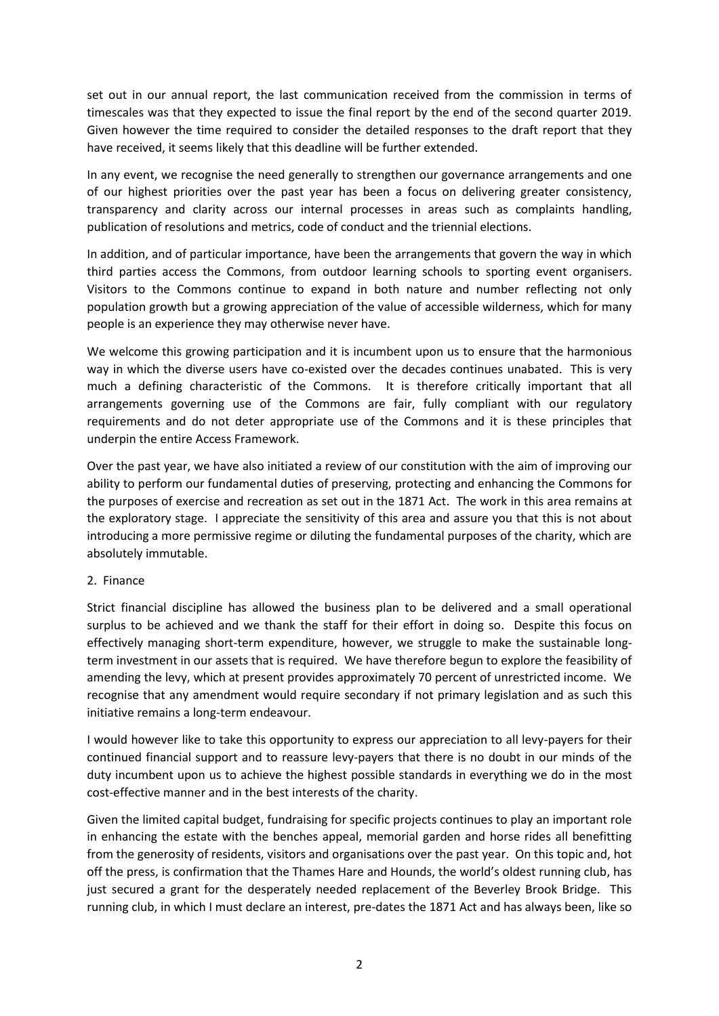set out in our annual report, the last communication received from the commission in terms of timescales was that they expected to issue the final report by the end of the second quarter 2019. Given however the time required to consider the detailed responses to the draft report that they have received, it seems likely that this deadline will be further extended.

In any event, we recognise the need generally to strengthen our governance arrangements and one of our highest priorities over the past year has been a focus on delivering greater consistency, transparency and clarity across our internal processes in areas such as complaints handling, publication of resolutions and metrics, code of conduct and the triennial elections.

In addition, and of particular importance, have been the arrangements that govern the way in which third parties access the Commons, from outdoor learning schools to sporting event organisers. Visitors to the Commons continue to expand in both nature and number reflecting not only population growth but a growing appreciation of the value of accessible wilderness, which for many people is an experience they may otherwise never have.

We welcome this growing participation and it is incumbent upon us to ensure that the harmonious way in which the diverse users have co-existed over the decades continues unabated. This is very much a defining characteristic of the Commons. It is therefore critically important that all arrangements governing use of the Commons are fair, fully compliant with our regulatory requirements and do not deter appropriate use of the Commons and it is these principles that underpin the entire Access Framework.

Over the past year, we have also initiated a review of our constitution with the aim of improving our ability to perform our fundamental duties of preserving, protecting and enhancing the Commons for the purposes of exercise and recreation as set out in the 1871 Act. The work in this area remains at the exploratory stage. I appreciate the sensitivity of this area and assure you that this is not about introducing a more permissive regime or diluting the fundamental purposes of the charity, which are absolutely immutable.

## 2. Finance

Strict financial discipline has allowed the business plan to be delivered and a small operational surplus to be achieved and we thank the staff for their effort in doing so. Despite this focus on effectively managing short-term expenditure, however, we struggle to make the sustainable longterm investment in our assets that is required. We have therefore begun to explore the feasibility of amending the levy, which at present provides approximately 70 percent of unrestricted income. We recognise that any amendment would require secondary if not primary legislation and as such this initiative remains a long-term endeavour.

I would however like to take this opportunity to express our appreciation to all levy-payers for their continued financial support and to reassure levy-payers that there is no doubt in our minds of the duty incumbent upon us to achieve the highest possible standards in everything we do in the most cost-effective manner and in the best interests of the charity.

Given the limited capital budget, fundraising for specific projects continues to play an important role in enhancing the estate with the benches appeal, memorial garden and horse rides all benefitting from the generosity of residents, visitors and organisations over the past year. On this topic and, hot off the press, is confirmation that the Thames Hare and Hounds, the world's oldest running club, has just secured a grant for the desperately needed replacement of the Beverley Brook Bridge. This running club, in which I must declare an interest, pre-dates the 1871 Act and has always been, like so